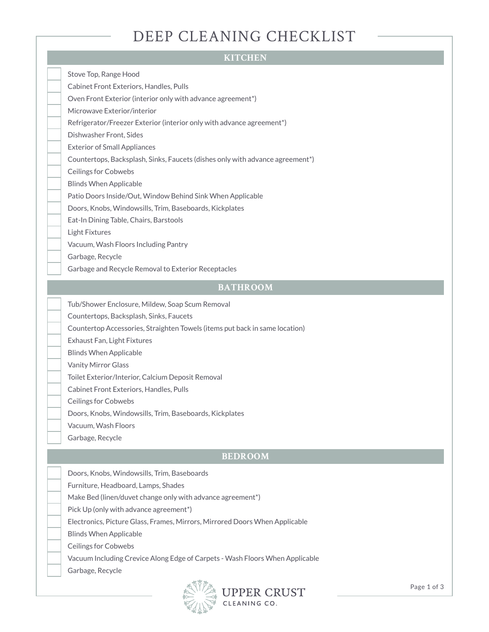### DEEP CLEANING CHECKLIST

#### **KITCHEN**

Stove Top, Range Hood

Cabinet Front Exteriors, Handles, Pulls

Oven Front Exterior (interior only with advance agreement\*)

Microwave Exterior/interior

Refrigerator/Freezer Exterior (interior only with advance agreement\*)

Dishwasher Front, Sides

Exterior of Small Appliances

Countertops, Backsplash, Sinks, Faucets (dishes only with advance agreement\*)

Ceilings for Cobwebs

Blinds When Applicable

Patio Doors Inside/Out, Window Behind Sink When Applicable

Doors, Knobs, Windowsills, Trim, Baseboards, Kickplates

Eat-In Dining Table, Chairs, Barstools

Light Fixtures

Vacuum, Wash Floors Including Pantry

Garbage, Recycle

Garbage and Recycle Removal to Exterior Receptacles

#### **BATHROOM**

Tub/Shower Enclosure, Mildew, Soap Scum Removal

Countertops, Backsplash, Sinks, Faucets

Countertop Accessories, Straighten Towels (items put back in same location)

Exhaust Fan, Light Fixtures

Blinds When Applicable

Vanity Mirror Glass

Toilet Exterior/Interior, Calcium Deposit Removal

Cabinet Front Exteriors, Handles, Pulls

Ceilings for Cobwebs

Doors, Knobs, Windowsills, Trim, Baseboards, Kickplates

Vacuum, Wash Floors

Garbage, Recycle

#### **BEDROOM**

Doors, Knobs, Windowsills, Trim, Baseboards

Furniture, Headboard, Lamps, Shades

Make Bed (linen/duvet change only with advance agreement\*)

Pick Up (only with advance agreement\*)

Electronics, Picture Glass, Frames, Mirrors, Mirrored Doors When Applicable

Blinds When Applicable

Ceilings for Cobwebs

Vacuum Including Crevice Along Edge of Carpets - Wash Floors When Applicable

Garbage, Recycle

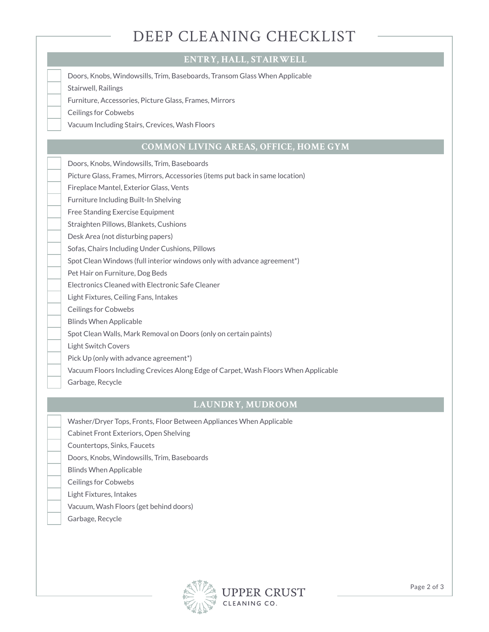## DEEP CLEANING CHECKLIST

#### **ENTRY, HALL, STAIRWELL**

Doors, Knobs, Windowsills, Trim, Baseboards, Transom Glass When Applicable

Stairwell, Railings

Furniture, Accessories, Picture Glass, Frames, Mirrors

Ceilings for Cobwebs

Vacuum Including Stairs, Crevices, Wash Floors

#### **COMMON LIVING AREAS, OFFICE, HOME GYM**

Doors, Knobs, Windowsills, Trim, Baseboards

Picture Glass, Frames, Mirrors, Accessories (items put back in same location)

Fireplace Mantel, Exterior Glass, Vents

Furniture Including Built-In Shelving

Free Standing Exercise Equipment

Straighten Pillows, Blankets, Cushions

Desk Area (not disturbing papers)

Sofas, Chairs Including Under Cushions, Pillows

Spot Clean Windows (full interior windows only with advance agreement\*)

Pet Hair on Furniture, Dog Beds

Electronics Cleaned with Electronic Safe Cleaner

Light Fixtures, Ceiling Fans, Intakes

Ceilings for Cobwebs

Blinds When Applicable

Spot Clean Walls, Mark Removal on Doors (only on certain paints)

Light Switch Covers

Pick Up (only with advance agreement\*)

Vacuum Floors Including Crevices Along Edge of Carpet, Wash Floors When Applicable

Garbage, Recycle

#### **LAUNDRY, MUDROOM**

Washer/Dryer Tops, Fronts, Floor Between Appliances When Applicable

Cabinet Front Exteriors, Open Shelving

Countertops, Sinks, Faucets

Doors, Knobs, Windowsills, Trim, Baseboards

Blinds When Applicable

Ceilings for Cobwebs

Light Fixtures, Intakes

Vacuum, Wash Floors (get behind doors)

Garbage, Recycle